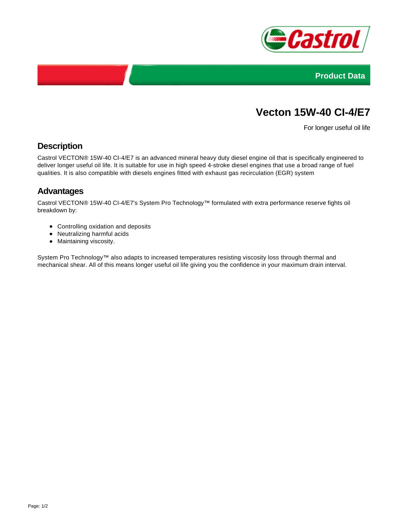



# **Vecton 15W-40 CI-4/E7**

For longer useful oil life

### **Description**

Castrol VECTON® 15W-40 CI-4/E7 is an advanced mineral heavy duty diesel engine oil that is specifically engineered to deliver longer useful oil life. It is suitable for use in high speed 4-stroke diesel engines that use a broad range of fuel qualities. It is also compatible with diesels engines fitted with exhaust gas recirculation (EGR) system

## **Advantages**

Castrol VECTON® 15W-40 CI-4/E7's System Pro Technology™ formulated with extra performance reserve fights oil breakdown by:

- Controlling oxidation and deposits
- Neutralizing harmful acids
- Maintaining viscosity.

System Pro Technology™ also adapts to increased temperatures resisting viscosity loss through thermal and mechanical shear. All of this means longer useful oil life giving you the confidence in your maximum drain interval.